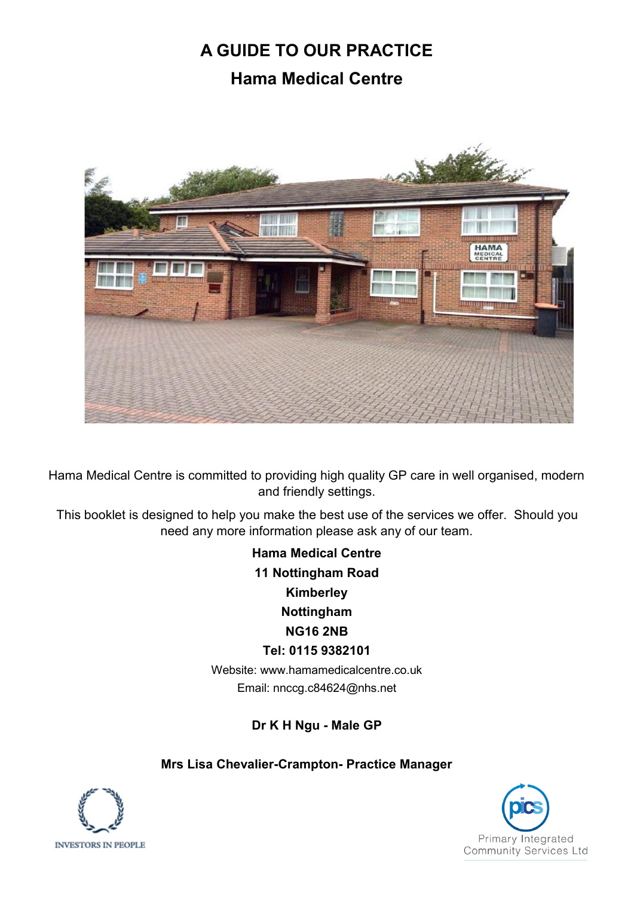# **A GUIDE TO OUR PRACTICE Hama Medical Centre**



Hama Medical Centre is committed to providing high quality GP care in well organised, modern and friendly settings.

This booklet is designed to help you make the best use of the services we offer. Should you need any more information please ask any of our team.

> **Hama Medical Centre 11 Nottingham Road Kimberley Nottingham NG16 2NB Tel: 0115 9382101**

Website: www.hamamedicalcentre.co.uk Email: nnccg.c84624@nhs.net

**Dr K H Ngu - Male GP**

### **Mrs Lisa Chevalier-Crampton- Practice Manager**



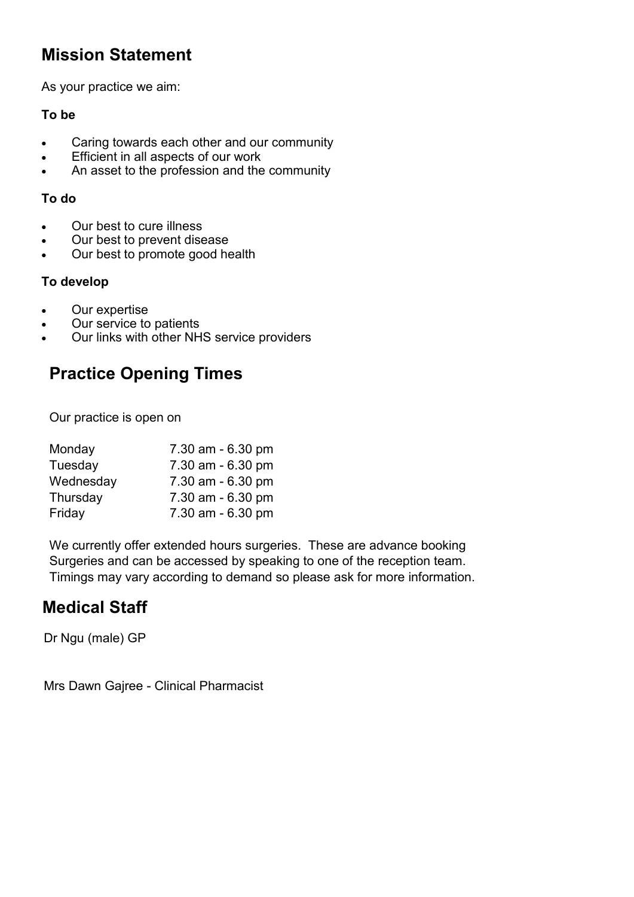### **Mission Statement**

As your practice we aim:

### **To be**

- Caring towards each other and our community
- Efficient in all aspects of our work
- An asset to the profession and the community

#### **To do**

- Our best to cure illness
- Our best to prevent disease
- Our best to promote good health

### **To develop**

- Our expertise
- Our service to patients
- Our links with other NHS service providers

### **Practice Opening Times**

Our practice is open on

| Monday    | 7.30 am - 6.30 pm |
|-----------|-------------------|
| Tuesday   | 7.30 am - 6.30 pm |
| Wednesday | 7.30 am - 6.30 pm |
| Thursday  | 7.30 am - 6.30 pm |
| Friday    | 7.30 am - 6.30 pm |

We currently offer extended hours surgeries. These are advance booking Surgeries and can be accessed by speaking to one of the reception team. Timings may vary according to demand so please ask for more information.

### **Medical Staff**

Dr Ngu (male) GP

Mrs Dawn Gajree - Clinical Pharmacist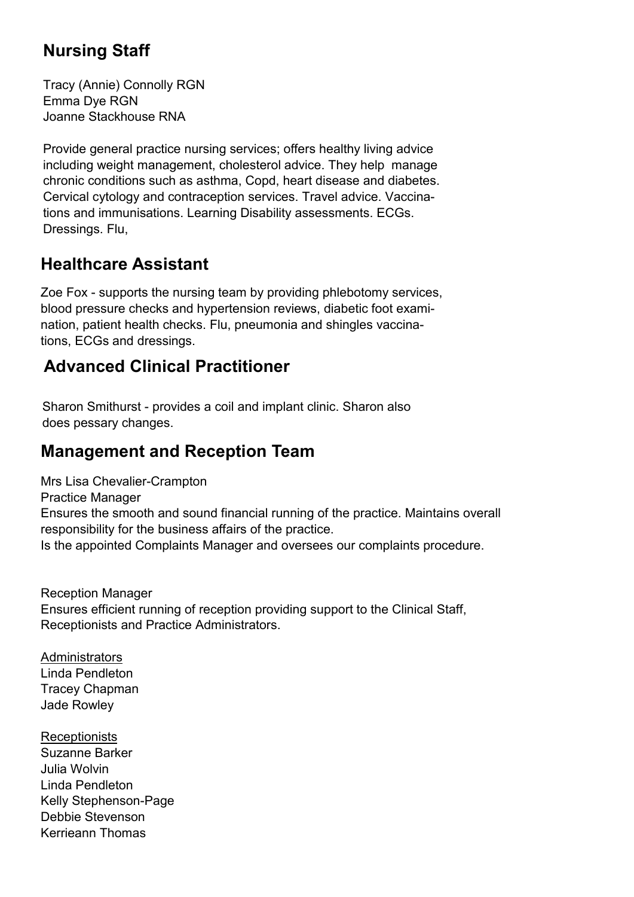## **Nursing Staff**

Tracy (Annie) Connolly RGN Emma Dye RGN Joanne Stackhouse RNA

Provide general practice nursing services; offers healthy living advice including weight management, cholesterol advice. They help manage chronic conditions such as asthma, Copd, heart disease and diabetes. Cervical cytology and contraception services. Travel advice. Vaccinations and immunisations. Learning Disability assessments. ECGs. Dressings. Flu,

### **Healthcare Assistant**

Zoe Fox - supports the nursing team by providing phlebotomy services, blood pressure checks and hypertension reviews, diabetic foot examination, patient health checks. Flu, pneumonia and shingles vaccinations, ECGs and dressings.

## **Advanced Clinical Practitioner**

Sharon Smithurst - provides a coil and implant clinic. Sharon also does pessary changes.

### **Management and Reception Team**

Mrs Lisa Chevalier-Crampton Practice Manager Ensures the smooth and sound financial running of the practice. Maintains overall responsibility for the business affairs of the practice. Is the appointed Complaints Manager and oversees our complaints procedure.

Reception Manager Ensures efficient running of reception providing support to the Clinical Staff, Receptionists and Practice Administrators.

**Administrators** Linda Pendleton Tracey Chapman Jade Rowley

**Receptionists** Suzanne Barker Julia Wolvin Linda Pendleton Kelly Stephenson-Page Debbie Stevenson Kerrieann Thomas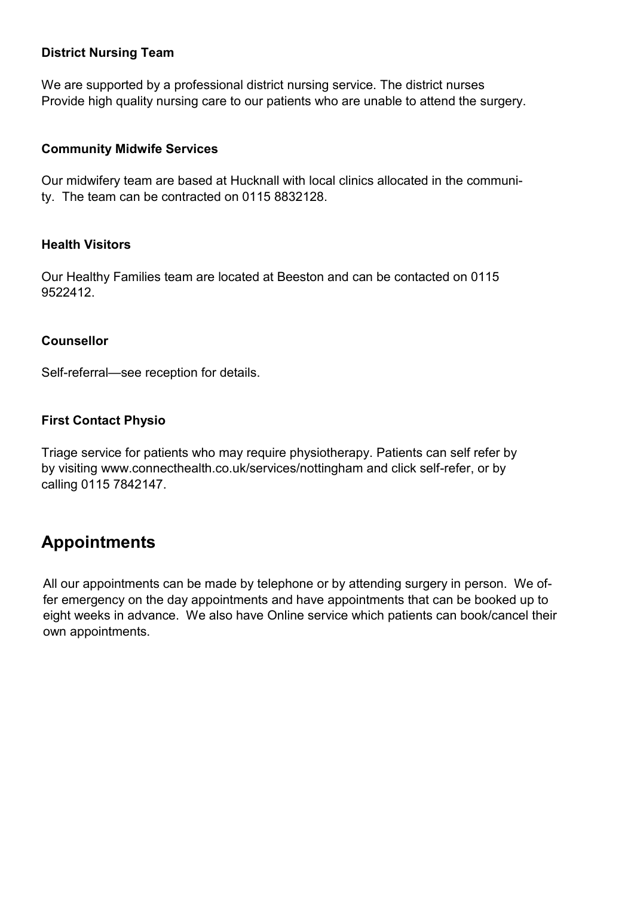#### **District Nursing Team**

We are supported by a professional district nursing service. The district nurses Provide high quality nursing care to our patients who are unable to attend the surgery.

#### **Community Midwife Services**

Our midwifery team are based at Hucknall with local clinics allocated in the community. The team can be contracted on 0115 8832128.

#### **Health Visitors**

Our Healthy Families team are located at Beeston and can be contacted on 0115 9522412.

### **Counsellor**

Self-referral—see reception for details.

### **First Contact Physio**

Triage service for patients who may require physiotherapy. Patients can self refer by by visiting www.connecthealth.co.uk/services/nottingham and click self-refer, or by calling 0115 7842147.

### **Appointments**

All our appointments can be made by telephone or by attending surgery in person. We offer emergency on the day appointments and have appointments that can be booked up to eight weeks in advance. We also have Online service which patients can book/cancel their own appointments.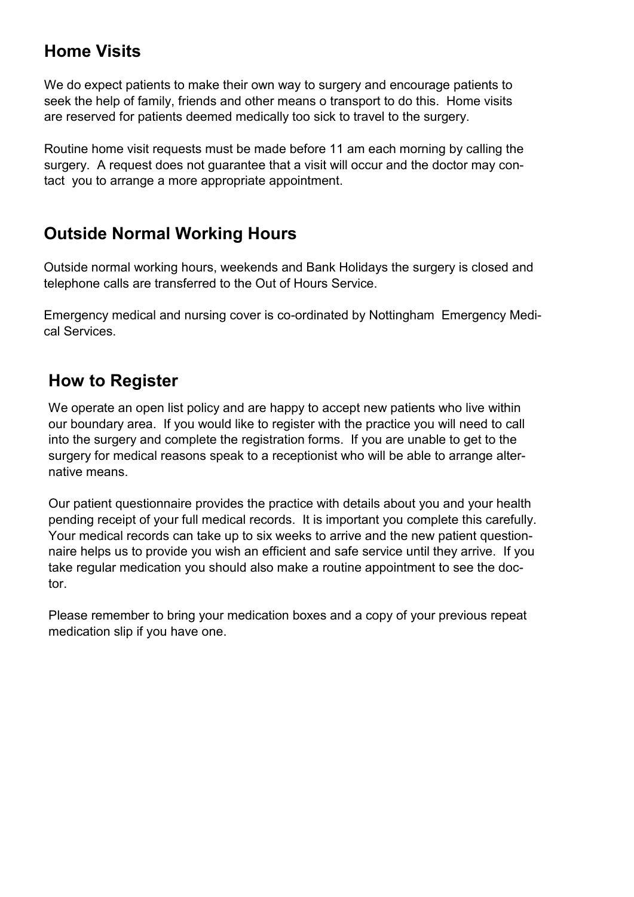### **Home Visits**

We do expect patients to make their own way to surgery and encourage patients to seek the help of family, friends and other means o transport to do this. Home visits are reserved for patients deemed medically too sick to travel to the surgery.

Routine home visit requests must be made before 11 am each morning by calling the surgery. A request does not guarantee that a visit will occur and the doctor may contact you to arrange a more appropriate appointment.

### **Outside Normal Working Hours**

Outside normal working hours, weekends and Bank Holidays the surgery is closed and telephone calls are transferred to the Out of Hours Service.

Emergency medical and nursing cover is co-ordinated by Nottingham Emergency Medical Services.

### **How to Register**

We operate an open list policy and are happy to accept new patients who live within our boundary area. If you would like to register with the practice you will need to call into the surgery and complete the registration forms. If you are unable to get to the surgery for medical reasons speak to a receptionist who will be able to arrange alternative means.

Our patient questionnaire provides the practice with details about you and your health pending receipt of your full medical records. It is important you complete this carefully. Your medical records can take up to six weeks to arrive and the new patient questionnaire helps us to provide you wish an efficient and safe service until they arrive. If you take regular medication you should also make a routine appointment to see the doctor.

Please remember to bring your medication boxes and a copy of your previous repeat medication slip if you have one.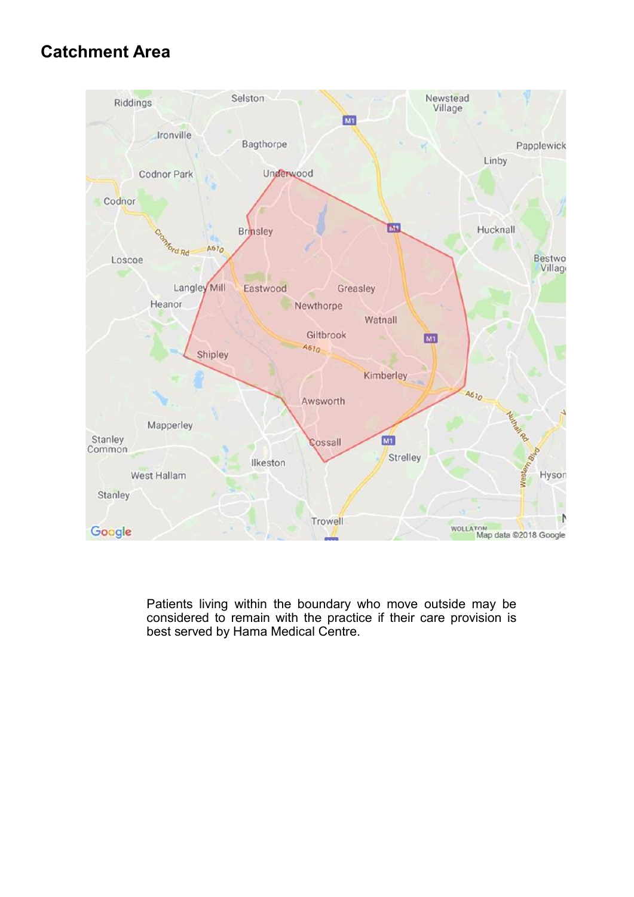### **Catchment Area**



Patients living within the boundary who move outside may be considered to remain with the practice if their care provision is best served by Hama Medical Centre.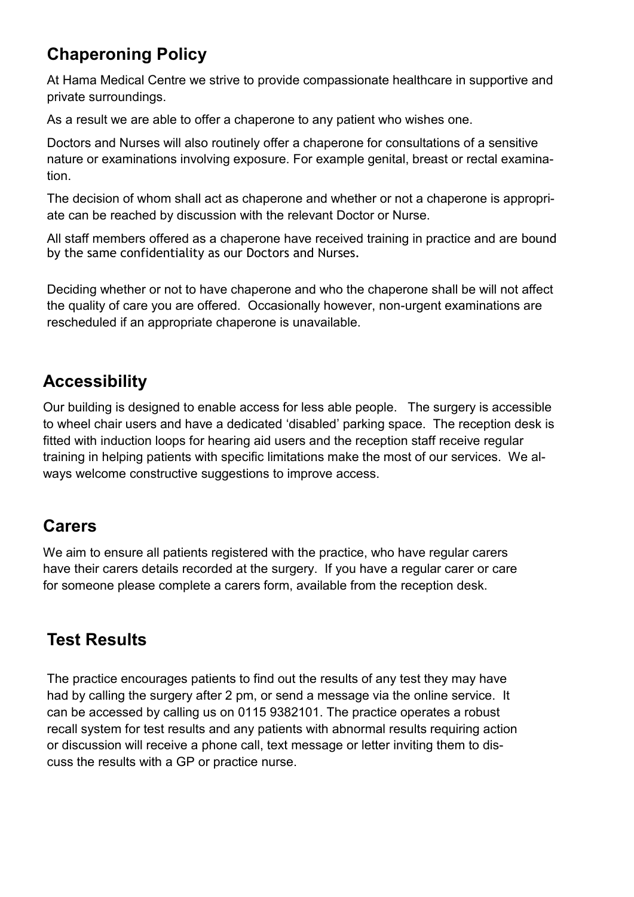## **Chaperoning Policy**

At Hama Medical Centre we strive to provide compassionate healthcare in supportive and private surroundings.

As a result we are able to offer a chaperone to any patient who wishes one.

Doctors and Nurses will also routinely offer a chaperone for consultations of a sensitive nature or examinations involving exposure. For example genital, breast or rectal examination.

The decision of whom shall act as chaperone and whether or not a chaperone is appropriate can be reached by discussion with the relevant Doctor or Nurse.

All staff members offered as a chaperone have received training in practice and are bound by the same confidentiality as our Doctors and Nurses.

Deciding whether or not to have chaperone and who the chaperone shall be will not affect the quality of care you are offered. Occasionally however, non-urgent examinations are rescheduled if an appropriate chaperone is unavailable.

## **Accessibility**

Our building is designed to enable access for less able people. The surgery is accessible to wheel chair users and have a dedicated 'disabled' parking space. The reception desk is fitted with induction loops for hearing aid users and the reception staff receive regular training in helping patients with specific limitations make the most of our services. We always welcome constructive suggestions to improve access.

### **Carers**

We aim to ensure all patients registered with the practice, who have regular carers have their carers details recorded at the surgery. If you have a regular carer or care for someone please complete a carers form, available from the reception desk.

## **Test Results**

The practice encourages patients to find out the results of any test they may have had by calling the surgery after 2 pm, or send a message via the online service. It can be accessed by calling us on 0115 9382101. The practice operates a robust recall system for test results and any patients with abnormal results requiring action or discussion will receive a phone call, text message or letter inviting them to discuss the results with a GP or practice nurse.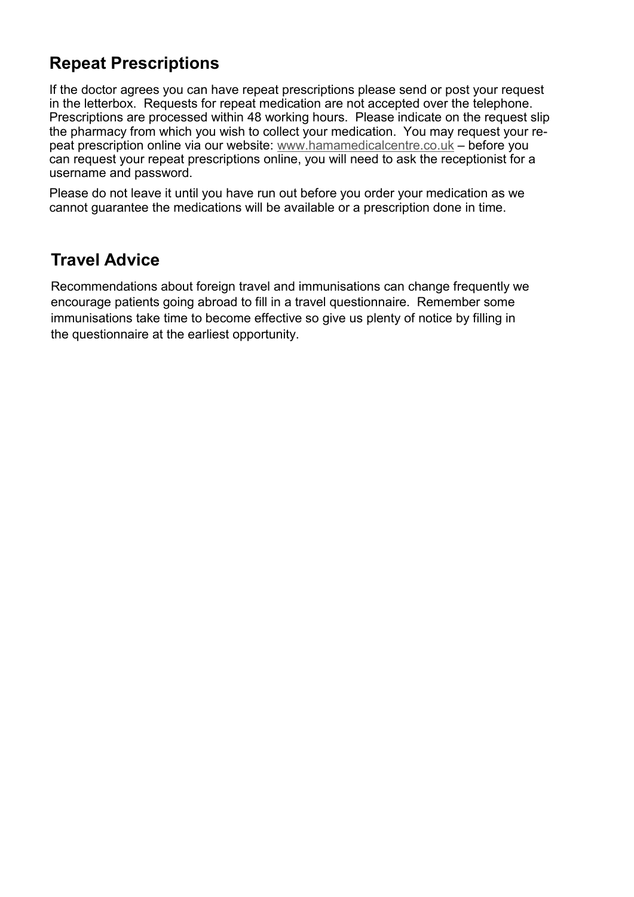### **Repeat Prescriptions**

If the doctor agrees you can have repeat prescriptions please send or post your request in the letterbox. Requests for repeat medication are not accepted over the telephone. Prescriptions are processed within 48 working hours. Please indicate on the request slip the pharmacy from which you wish to collect your medication. You may request your repeat prescription online via our website: [www.hamamedicalcentre.co.uk](http://www.hamamedicalcentre.co.uk) – before you can request your repeat prescriptions online, you will need to ask the receptionist for a username and password.

Please do not leave it until you have run out before you order your medication as we cannot guarantee the medications will be available or a prescription done in time.

### **Travel Advice**

Recommendations about foreign travel and immunisations can change frequently we encourage patients going abroad to fill in a travel questionnaire. Remember some immunisations take time to become effective so give us plenty of notice by filling in the questionnaire at the earliest opportunity.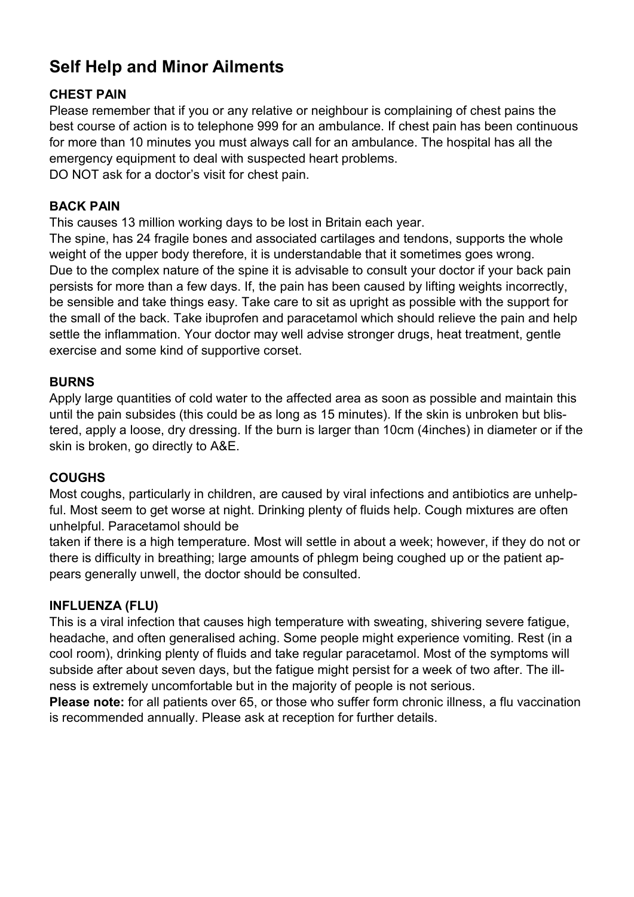## **Self Help and Minor Ailments**

### **CHEST PAIN**

Please remember that if you or any relative or neighbour is complaining of chest pains the best course of action is to telephone 999 for an ambulance. If chest pain has been continuous for more than 10 minutes you must always call for an ambulance. The hospital has all the emergency equipment to deal with suspected heart problems. DO NOT ask for a doctor's visit for chest pain.

### **BACK PAIN**

This causes 13 million working days to be lost in Britain each year.

The spine, has 24 fragile bones and associated cartilages and tendons, supports the whole weight of the upper body therefore, it is understandable that it sometimes goes wrong. Due to the complex nature of the spine it is advisable to consult your doctor if your back pain persists for more than a few days. If, the pain has been caused by lifting weights incorrectly, be sensible and take things easy. Take care to sit as upright as possible with the support for the small of the back. Take ibuprofen and paracetamol which should relieve the pain and help settle the inflammation. Your doctor may well advise stronger drugs, heat treatment, gentle exercise and some kind of supportive corset.

### **BURNS**

Apply large quantities of cold water to the affected area as soon as possible and maintain this until the pain subsides (this could be as long as 15 minutes). If the skin is unbroken but blistered, apply a loose, dry dressing. If the burn is larger than 10cm (4inches) in diameter or if the skin is broken, go directly to A&E.

### **COUGHS**

Most coughs, particularly in children, are caused by viral infections and antibiotics are unhelpful. Most seem to get worse at night. Drinking plenty of fluids help. Cough mixtures are often unhelpful. Paracetamol should be

taken if there is a high temperature. Most will settle in about a week; however, if they do not or there is difficulty in breathing; large amounts of phlegm being coughed up or the patient appears generally unwell, the doctor should be consulted.

### **INFLUENZA (FLU)**

This is a viral infection that causes high temperature with sweating, shivering severe fatigue, headache, and often generalised aching. Some people might experience vomiting. Rest (in a cool room), drinking plenty of fluids and take regular paracetamol. Most of the symptoms will subside after about seven days, but the fatigue might persist for a week of two after. The illness is extremely uncomfortable but in the majority of people is not serious.

**Please note:** for all patients over 65, or those who suffer form chronic illness, a flu vaccination is recommended annually. Please ask at reception for further details.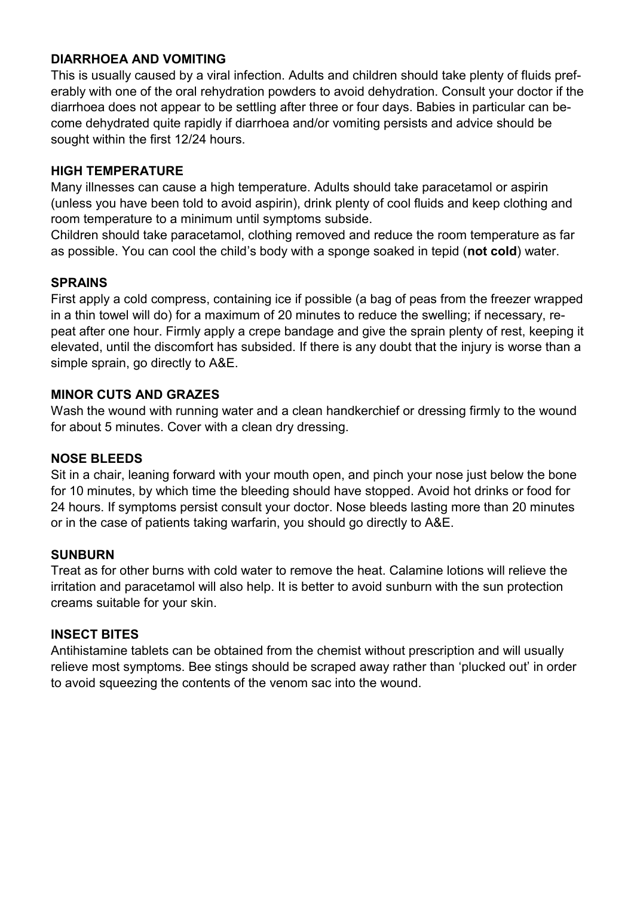#### **DIARRHOEA AND VOMITING**

This is usually caused by a viral infection. Adults and children should take plenty of fluids preferably with one of the oral rehydration powders to avoid dehydration. Consult your doctor if the diarrhoea does not appear to be settling after three or four days. Babies in particular can become dehydrated quite rapidly if diarrhoea and/or vomiting persists and advice should be sought within the first 12/24 hours.

#### **HIGH TEMPERATURE**

Many illnesses can cause a high temperature. Adults should take paracetamol or aspirin (unless you have been told to avoid aspirin), drink plenty of cool fluids and keep clothing and room temperature to a minimum until symptoms subside.

Children should take paracetamol, clothing removed and reduce the room temperature as far as possible. You can cool the child's body with a sponge soaked in tepid (**not cold**) water.

#### **SPRAINS**

First apply a cold compress, containing ice if possible (a bag of peas from the freezer wrapped in a thin towel will do) for a maximum of 20 minutes to reduce the swelling; if necessary, repeat after one hour. Firmly apply a crepe bandage and give the sprain plenty of rest, keeping it elevated, until the discomfort has subsided. If there is any doubt that the injury is worse than a simple sprain, go directly to A&E.

#### **MINOR CUTS AND GRAZES**

Wash the wound with running water and a clean handkerchief or dressing firmly to the wound for about 5 minutes. Cover with a clean dry dressing.

#### **NOSE BLEEDS**

Sit in a chair, leaning forward with your mouth open, and pinch your nose just below the bone for 10 minutes, by which time the bleeding should have stopped. Avoid hot drinks or food for 24 hours. If symptoms persist consult your doctor. Nose bleeds lasting more than 20 minutes or in the case of patients taking warfarin, you should go directly to A&E.

#### **SUNBURN**

Treat as for other burns with cold water to remove the heat. Calamine lotions will relieve the irritation and paracetamol will also help. It is better to avoid sunburn with the sun protection creams suitable for your skin.

#### **INSECT BITES**

Antihistamine tablets can be obtained from the chemist without prescription and will usually relieve most symptoms. Bee stings should be scraped away rather than 'plucked out' in order to avoid squeezing the contents of the venom sac into the wound.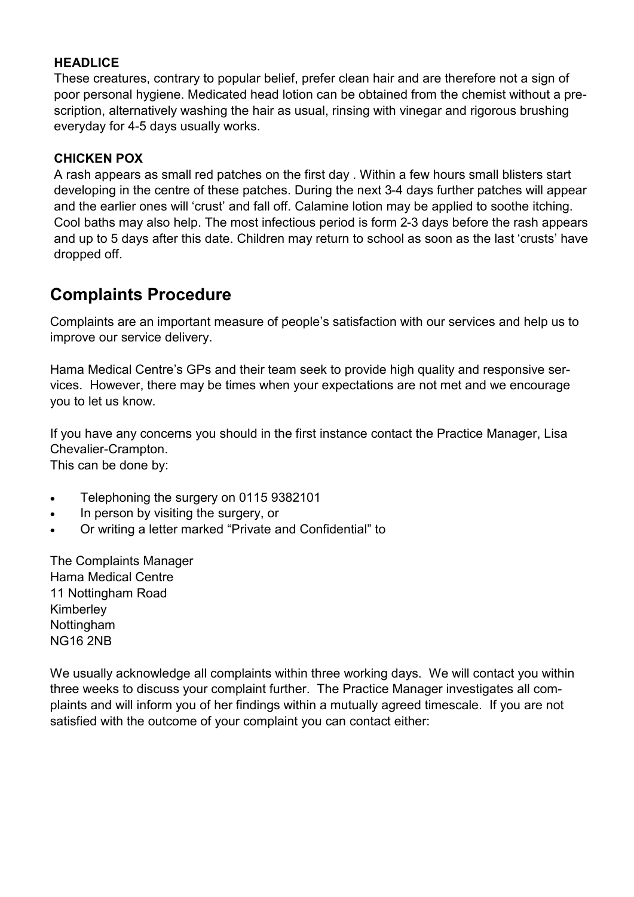### **HEADLICE**

These creatures, contrary to popular belief, prefer clean hair and are therefore not a sign of poor personal hygiene. Medicated head lotion can be obtained from the chemist without a prescription, alternatively washing the hair as usual, rinsing with vinegar and rigorous brushing everyday for 4-5 days usually works.

### **CHICKEN POX**

A rash appears as small red patches on the first day . Within a few hours small blisters start developing in the centre of these patches. During the next 3-4 days further patches will appear and the earlier ones will 'crust' and fall off. Calamine lotion may be applied to soothe itching. Cool baths may also help. The most infectious period is form 2-3 days before the rash appears and up to 5 days after this date. Children may return to school as soon as the last 'crusts' have dropped off.

### **Complaints Procedure**

Complaints are an important measure of people's satisfaction with our services and help us to improve our service delivery.

Hama Medical Centre's GPs and their team seek to provide high quality and responsive services. However, there may be times when your expectations are not met and we encourage you to let us know.

If you have any concerns you should in the first instance contact the Practice Manager, Lisa Chevalier-Crampton.

This can be done by:

- Telephoning the surgery on 0115 9382101
- In person by visiting the surgery, or
- Or writing a letter marked "Private and Confidential" to

The Complaints Manager Hama Medical Centre 11 Nottingham Road Kimberley Nottingham NG16 2NB

We usually acknowledge all complaints within three working days. We will contact you within three weeks to discuss your complaint further. The Practice Manager investigates all complaints and will inform you of her findings within a mutually agreed timescale. If you are not satisfied with the outcome of your complaint you can contact either: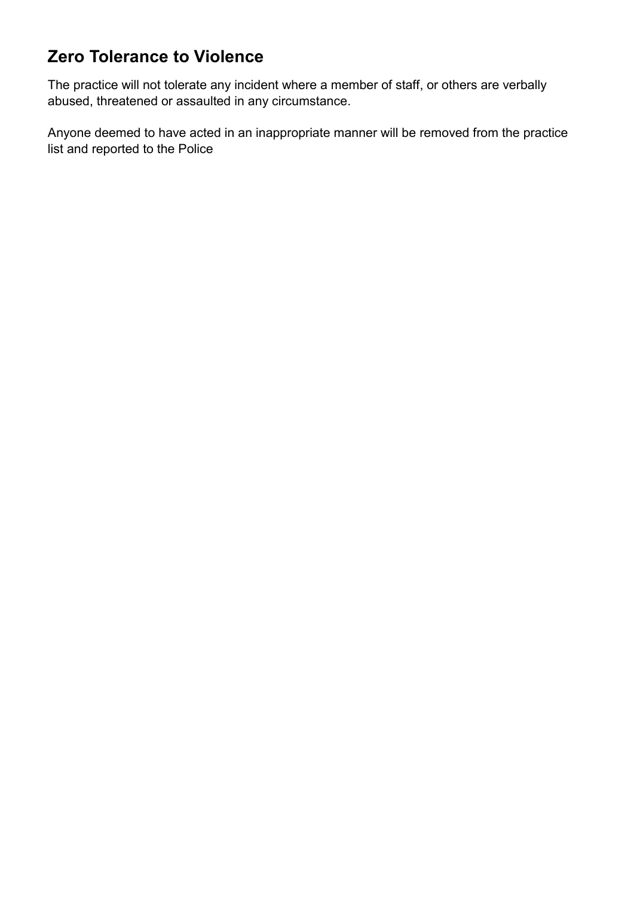## **Zero Tolerance to Violence**

The practice will not tolerate any incident where a member of staff, or others are verbally abused, threatened or assaulted in any circumstance.

Anyone deemed to have acted in an inappropriate manner will be removed from the practice list and reported to the Police